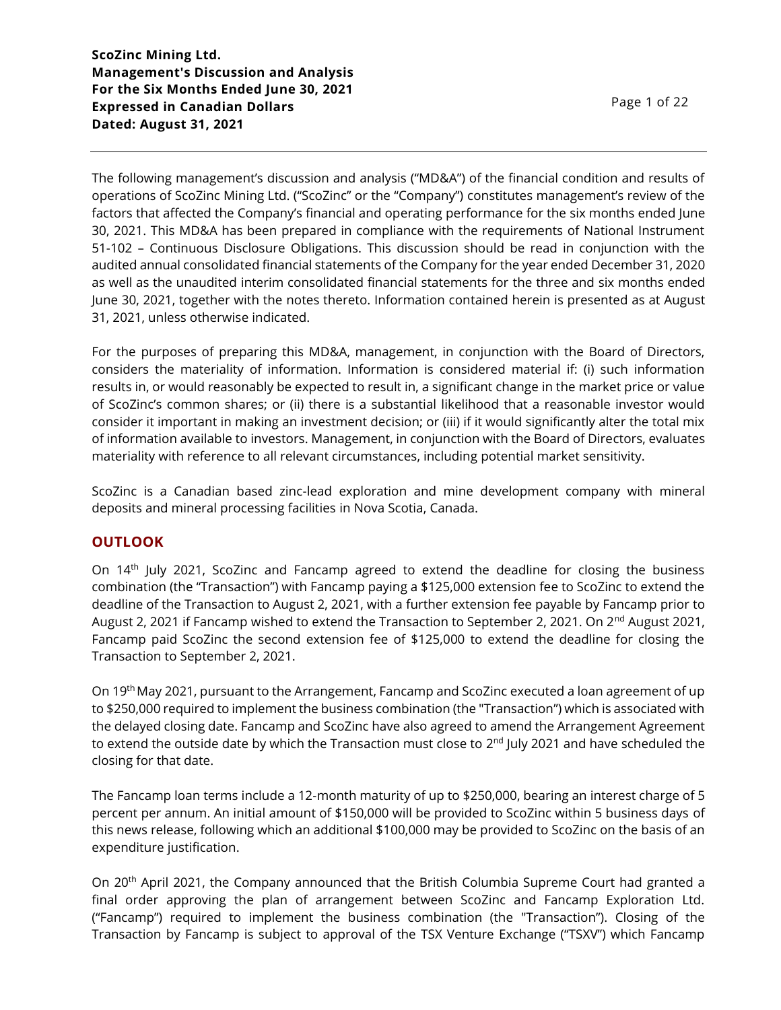The following management's discussion and analysis ("MD&A") of the financial condition and results of operations of ScoZinc Mining Ltd. ("ScoZinc" or the "Company") constitutes management's review of the factors that affected the Company's financial and operating performance for the six months ended June 30, 2021. This MD&A has been prepared in compliance with the requirements of National Instrument 51-102 – Continuous Disclosure Obligations. This discussion should be read in conjunction with the audited annual consolidated financial statements of the Company for the year ended December 31, 2020 as well as the unaudited interim consolidated financial statements for the three and six months ended June 30, 2021, together with the notes thereto. Information contained herein is presented as at August 31, 2021, unless otherwise indicated.

For the purposes of preparing this MD&A, management, in conjunction with the Board of Directors, considers the materiality of information. Information is considered material if: (i) such information results in, or would reasonably be expected to result in, a significant change in the market price or value of ScoZinc's common shares; or (ii) there is a substantial likelihood that a reasonable investor would consider it important in making an investment decision; or (iii) if it would significantly alter the total mix of information available to investors. Management, in conjunction with the Board of Directors, evaluates materiality with reference to all relevant circumstances, including potential market sensitivity.

ScoZinc is a Canadian based zinc-lead exploration and mine development company with mineral deposits and mineral processing facilities in Nova Scotia, Canada.

### **OUTLOOK**

On 14<sup>th</sup> July 2021, ScoZinc and Fancamp agreed to extend the deadline for closing the business combination (the "Transaction") with Fancamp paying a \$125,000 extension fee to ScoZinc to extend the deadline of the Transaction to August 2, 2021, with a further extension fee payable by Fancamp prior to August 2, 2021 if Fancamp wished to extend the Transaction to September 2, 2021. On 2<sup>nd</sup> August 2021, Fancamp paid ScoZinc the second extension fee of \$125,000 to extend the deadline for closing the Transaction to September 2, 2021.

On 19<sup>th</sup> May 2021, pursuant to the Arrangement, Fancamp and ScoZinc executed a loan agreement of up to \$250,000 required to implement the business combination (the "Transaction") which is associated with the delayed closing date. Fancamp and ScoZinc have also agreed to amend the Arrangement Agreement to extend the outside date by which the Transaction must close to 2<sup>nd</sup> July 2021 and have scheduled the closing for that date.

The Fancamp loan terms include a 12-month maturity of up to \$250,000, bearing an interest charge of 5 percent per annum. An initial amount of \$150,000 will be provided to ScoZinc within 5 business days of this news release, following which an additional \$100,000 may be provided to ScoZinc on the basis of an expenditure justification.

On 20<sup>th</sup> April 2021, the Company announced that the British Columbia Supreme Court had granted a final order approving the plan of arrangement between ScoZinc and Fancamp Exploration Ltd. ("Fancamp") required to implement the business combination (the "Transaction"). Closing of the Transaction by Fancamp is subject to approval of the TSX Venture Exchange ("TSXV") which Fancamp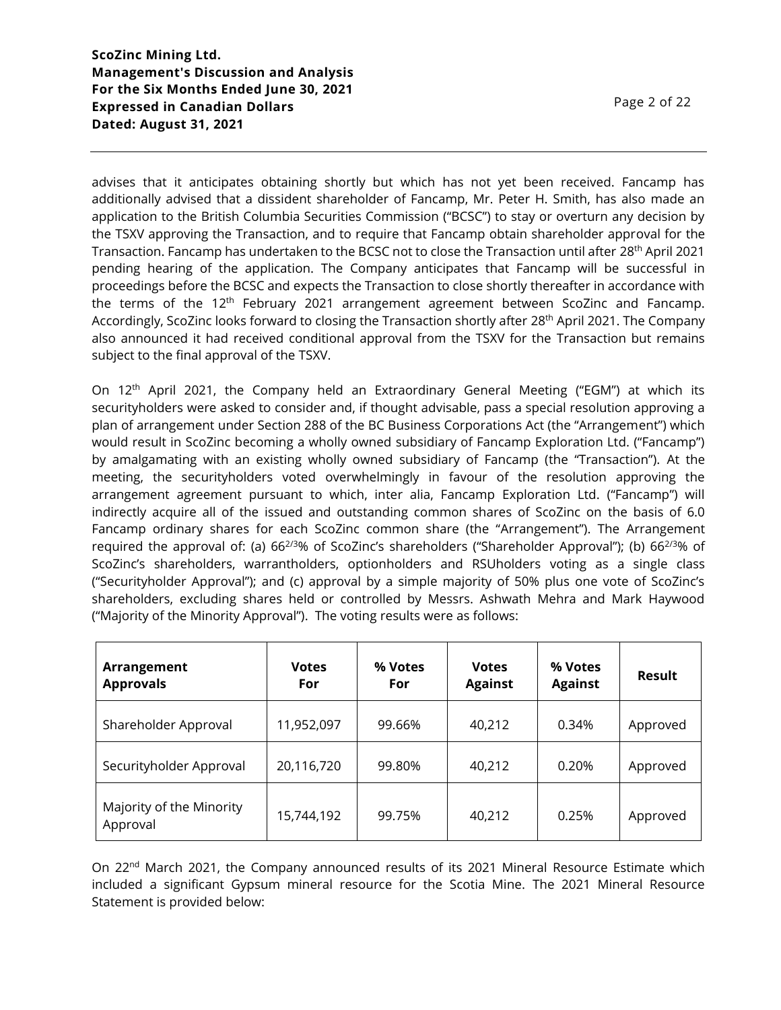advises that it anticipates obtaining shortly but which has not yet been received. Fancamp has additionally advised that a dissident shareholder of Fancamp, Mr. Peter H. Smith, has also made an application to the British Columbia Securities Commission ("BCSC") to stay or overturn any decision by the TSXV approving the Transaction, and to require that Fancamp obtain shareholder approval for the Transaction. Fancamp has undertaken to the BCSC not to close the Transaction until after 28<sup>th</sup> April 2021 pending hearing of the application. The Company anticipates that Fancamp will be successful in proceedings before the BCSC and expects the Transaction to close shortly thereafter in accordance with the terms of the  $12<sup>th</sup>$  February 2021 arrangement agreement between ScoZinc and Fancamp. Accordingly, ScoZinc looks forward to closing the Transaction shortly after 28<sup>th</sup> April 2021. The Company also announced it had received conditional approval from the TSXV for the Transaction but remains subject to the final approval of the TSXV.

On 12<sup>th</sup> April 2021, the Company held an Extraordinary General Meeting ("EGM") at which its securityholders were asked to consider and, if thought advisable, pass a special resolution approving a plan of arrangement under Section 288 of the BC Business Corporations Act (the "Arrangement") which would result in ScoZinc becoming a wholly owned subsidiary of Fancamp Exploration Ltd. ("Fancamp") by amalgamating with an existing wholly owned subsidiary of Fancamp (the "Transaction"). At the meeting, the securityholders voted overwhelmingly in favour of the resolution approving the arrangement agreement pursuant to which, inter alia, Fancamp Exploration Ltd. ("Fancamp") will indirectly acquire all of the issued and outstanding common shares of ScoZinc on the basis of 6.0 Fancamp ordinary shares for each ScoZinc common share (the "Arrangement"). The Arrangement required the approval of: (a) 66<sup>2/3</sup>% of ScoZinc's shareholders ("Shareholder Approval"); (b) 66<sup>2/3</sup>% of ScoZinc's shareholders, warrantholders, optionholders and RSUholders voting as a single class ("Securityholder Approval"); and (c) approval by a simple majority of 50% plus one vote of ScoZinc's shareholders, excluding shares held or controlled by Messrs. Ashwath Mehra and Mark Haywood ("Majority of the Minority Approval"). The voting results were as follows:

| Arrangement<br><b>Approvals</b>      | <b>Votes</b><br>For | % Votes<br>For | <b>Votes</b><br><b>Against</b> | % Votes<br><b>Against</b> | Result   |
|--------------------------------------|---------------------|----------------|--------------------------------|---------------------------|----------|
| Shareholder Approval                 | 11,952,097          | 99.66%         | 40,212                         | 0.34%                     | Approved |
| Securityholder Approval              | 20,116,720          | 99.80%         | 40,212                         | 0.20%                     | Approved |
| Majority of the Minority<br>Approval | 15,744,192          | 99.75%         | 40,212                         | 0.25%                     | Approved |

On 22<sup>nd</sup> March 2021, the Company announced results of its 2021 Mineral Resource Estimate which included a significant Gypsum mineral resource for the Scotia Mine. The 2021 Mineral Resource Statement is provided below: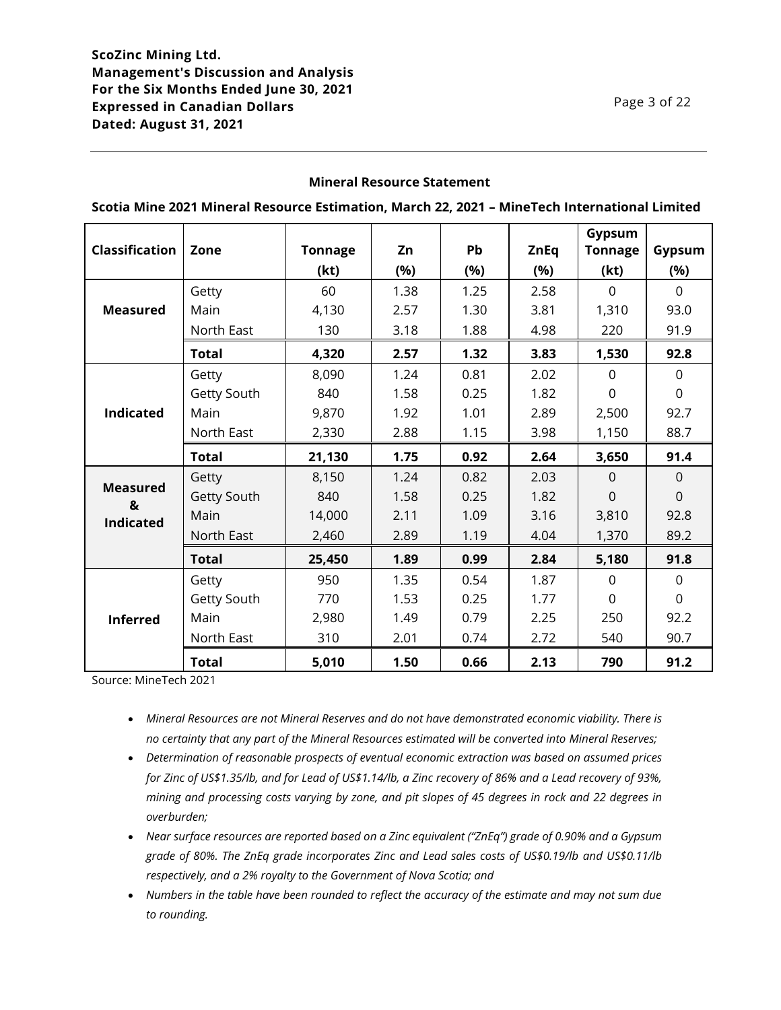### **Mineral Resource Statement**

|                       |              |                |      |           |             | Gypsum         |                |
|-----------------------|--------------|----------------|------|-----------|-------------|----------------|----------------|
| <b>Classification</b> | Zone         | <b>Tonnage</b> | Zn   | <b>Pb</b> | <b>ZnEq</b> | <b>Tonnage</b> | Gypsum         |
|                       |              | (kt)           | (%)  | (%)       | (%)         | (kt)           | (%)            |
|                       | Getty        | 60             | 1.38 | 1.25      | 2.58        | $\mathbf 0$    | $\Omega$       |
| <b>Measured</b>       | Main         | 4,130          | 2.57 | 1.30      | 3.81        | 1,310          | 93.0           |
|                       | North East   | 130            | 3.18 | 1.88      | 4.98        | 220            | 91.9           |
|                       | <b>Total</b> | 4,320          | 2.57 | 1.32      | 3.83        | 1,530          | 92.8           |
|                       | Getty        | 8,090          | 1.24 | 0.81      | 2.02        | $\Omega$       | $\Omega$       |
|                       | Getty South  | 840            | 1.58 | 0.25      | 1.82        | 0              | $\overline{0}$ |
| <b>Indicated</b>      | Main         | 9,870          | 1.92 | 1.01      | 2.89        | 2,500          | 92.7           |
|                       | North East   | 2,330          | 2.88 | 1.15      | 3.98        | 1,150          | 88.7           |
|                       | Total        | 21,130         | 1.75 | 0.92      | 2.64        | 3,650          | 91.4           |
|                       | Getty        | 8,150          | 1.24 | 0.82      | 2.03        | $\Omega$       | $\Omega$       |
| <b>Measured</b><br>&  | Getty South  | 840            | 1.58 | 0.25      | 1.82        | $\overline{0}$ | $\overline{0}$ |
| <b>Indicated</b>      | Main         | 14,000         | 2.11 | 1.09      | 3.16        | 3,810          | 92.8           |
|                       | North East   | 2,460          | 2.89 | 1.19      | 4.04        | 1,370          | 89.2           |
|                       | <b>Total</b> | 25,450         | 1.89 | 0.99      | 2.84        | 5,180          | 91.8           |
| <b>Inferred</b>       | Getty        | 950            | 1.35 | 0.54      | 1.87        | $\Omega$       | $\mathbf{0}$   |
|                       | Getty South  | 770            | 1.53 | 0.25      | 1.77        | $\Omega$       | $\mathbf 0$    |
|                       | Main         | 2,980          | 1.49 | 0.79      | 2.25        | 250            | 92.2           |
|                       | North East   | 310            | 2.01 | 0.74      | 2.72        | 540            | 90.7           |
|                       | <b>Total</b> | 5,010          | 1.50 | 0.66      | 2.13        | 790            | 91.2           |

**Scotia Mine 2021 Mineral Resource Estimation, March 22, 2021 – MineTech International Limited**

Source: MineTech 2021

- *Mineral Resources are not Mineral Reserves and do not have demonstrated economic viability. There is no certainty that any part of the Mineral Resources estimated will be converted into Mineral Reserves;*
- *Determination of reasonable prospects of eventual economic extraction was based on assumed prices for Zinc of US\$1.35/lb, and for Lead of US\$1.14/lb, a Zinc recovery of 86% and a Lead recovery of 93%, mining and processing costs varying by zone, and pit slopes of 45 degrees in rock and 22 degrees in overburden;*
- *Near surface resources are reported based on a Zinc equivalent ("ZnEq") grade of 0.90% and a Gypsum grade of 80%. The ZnEq grade incorporates Zinc and Lead sales costs of US\$0.19/lb and US\$0.11/lb respectively, and a 2% royalty to the Government of Nova Scotia; and*
- *Numbers in the table have been rounded to reflect the accuracy of the estimate and may not sum due to rounding.*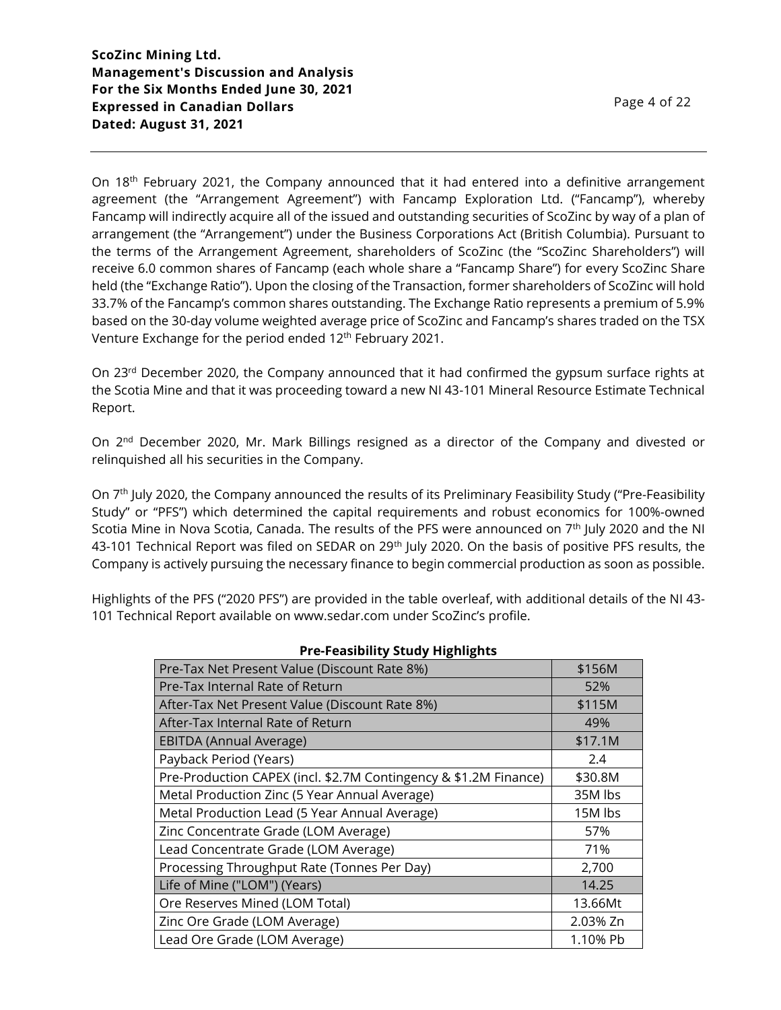On 18<sup>th</sup> February 2021, the Company announced that it had entered into a definitive arrangement agreement (the "Arrangement Agreement") with Fancamp Exploration Ltd. ("Fancamp"), whereby Fancamp will indirectly acquire all of the issued and outstanding securities of ScoZinc by way of a plan of arrangement (the "Arrangement") under the Business Corporations Act (British Columbia). Pursuant to the terms of the Arrangement Agreement, shareholders of ScoZinc (the "ScoZinc Shareholders") will receive 6.0 common shares of Fancamp (each whole share a "Fancamp Share") for every ScoZinc Share held (the "Exchange Ratio"). Upon the closing of the Transaction, former shareholders of ScoZinc will hold 33.7% of the Fancamp's common shares outstanding. The Exchange Ratio represents a premium of 5.9% based on the 30-day volume weighted average price of ScoZinc and Fancamp's shares traded on the TSX Venture Exchange for the period ended 12<sup>th</sup> February 2021.

On 23<sup>rd</sup> December 2020, the Company announced that it had confirmed the gypsum surface rights at the Scotia Mine and that it was proceeding toward a new NI 43-101 Mineral Resource Estimate Technical Report.

On 2<sup>nd</sup> December 2020, Mr. Mark Billings resigned as a director of the Company and divested or relinquished all his securities in the Company.

On 7<sup>th</sup> July 2020, the Company announced the results of its Preliminary Feasibility Study ("Pre-Feasibility Study" or "PFS") which determined the capital requirements and robust economics for 100%-owned Scotia Mine in Nova Scotia, Canada. The results of the PFS were announced on 7th July 2020 and the NI 43-101 Technical Report was filed on SEDAR on 29<sup>th</sup> July 2020. On the basis of positive PFS results, the Company is actively pursuing the necessary finance to begin commercial production as soon as possible.

Highlights of the PFS ("2020 PFS") are provided in the table overleaf, with additional details of the NI 43- 101 Technical Report available on www.sedar.com under ScoZinc's profile.

| <b>FIC-FCASIDING</b> SLUUT HIRHIIRIILS                           |          |
|------------------------------------------------------------------|----------|
| Pre-Tax Net Present Value (Discount Rate 8%)                     | \$156M   |
| Pre-Tax Internal Rate of Return                                  | 52%      |
| After-Tax Net Present Value (Discount Rate 8%)                   | \$115M   |
| After-Tax Internal Rate of Return                                | 49%      |
| <b>EBITDA (Annual Average)</b>                                   | \$17.1M  |
| Payback Period (Years)                                           | 2.4      |
| Pre-Production CAPEX (incl. \$2.7M Contingency & \$1.2M Finance) | \$30.8M  |
| Metal Production Zinc (5 Year Annual Average)                    | 35M lbs  |
| Metal Production Lead (5 Year Annual Average)                    | 15M lbs  |
| Zinc Concentrate Grade (LOM Average)                             | 57%      |
| Lead Concentrate Grade (LOM Average)                             | 71%      |
| Processing Throughput Rate (Tonnes Per Day)                      | 2,700    |
| Life of Mine ("LOM") (Years)                                     | 14.25    |
| Ore Reserves Mined (LOM Total)                                   | 13.66Mt  |
| Zinc Ore Grade (LOM Average)                                     | 2.03% Zn |
| Lead Ore Grade (LOM Average)                                     | 1.10% Pb |

### **Pre-Feasibility Study Highlights**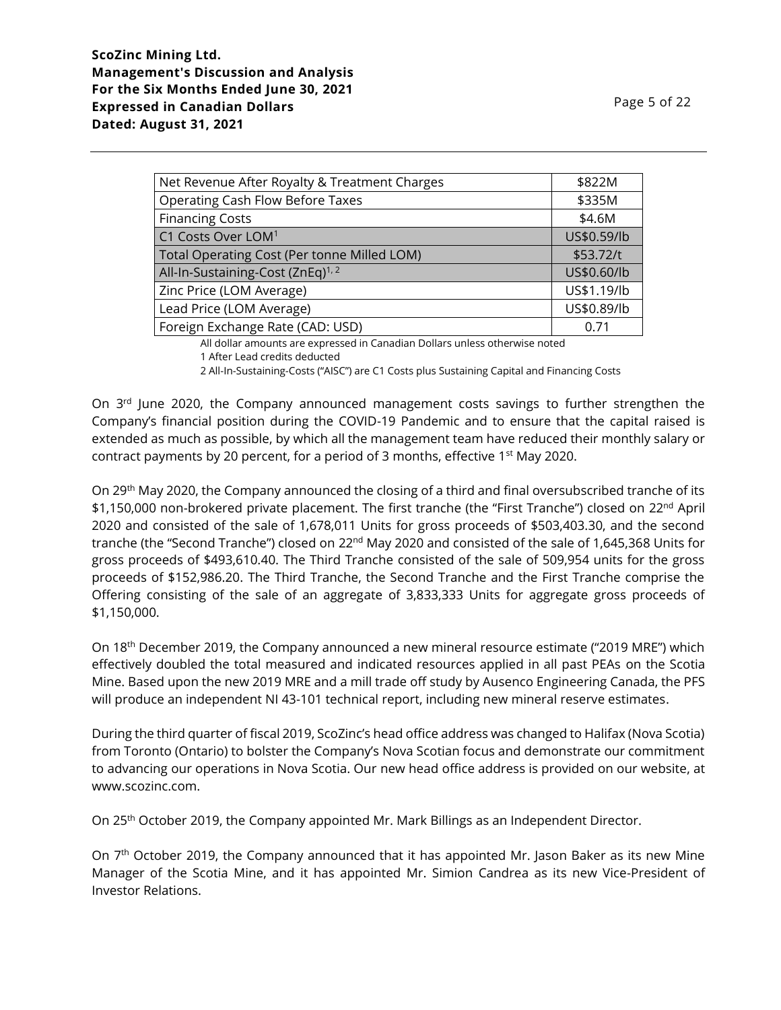| Net Revenue After Royalty & Treatment Charges | \$822M      |
|-----------------------------------------------|-------------|
| <b>Operating Cash Flow Before Taxes</b>       | \$335M      |
| <b>Financing Costs</b>                        | \$4.6M      |
| C1 Costs Over LOM <sup>1</sup>                | US\$0.59/lb |
| Total Operating Cost (Per tonne Milled LOM)   | \$53.72/t   |
| All-In-Sustaining-Cost (ZnEq) <sup>1,2</sup>  | US\$0.60/lb |
| Zinc Price (LOM Average)                      | US\$1.19/lb |
| Lead Price (LOM Average)                      | US\$0.89/lb |
| Foreign Exchange Rate (CAD: USD)              | 0.71        |

All dollar amounts are expressed in Canadian Dollars unless otherwise noted

2 All-In-Sustaining-Costs ("AISC") are C1 Costs plus Sustaining Capital and Financing Costs

On  $3<sup>rd</sup>$  June 2020, the Company announced management costs savings to further strengthen the Company's financial position during the COVID-19 Pandemic and to ensure that the capital raised is extended as much as possible, by which all the management team have reduced their monthly salary or contract payments by 20 percent, for a period of 3 months, effective  $1<sup>st</sup>$  May 2020.

On 29th May 2020, the Company announced the closing of a third and final oversubscribed tranche of its \$1,150,000 non-brokered private placement. The first tranche (the "First Tranche") closed on 22<sup>nd</sup> April 2020 and consisted of the sale of 1,678,011 Units for gross proceeds of \$503,403.30, and the second tranche (the "Second Tranche") closed on 22<sup>nd</sup> May 2020 and consisted of the sale of 1,645,368 Units for gross proceeds of \$493,610.40. The Third Tranche consisted of the sale of 509,954 units for the gross proceeds of \$152,986.20. The Third Tranche, the Second Tranche and the First Tranche comprise the Offering consisting of the sale of an aggregate of 3,833,333 Units for aggregate gross proceeds of \$1,150,000.

On 18<sup>th</sup> December 2019, the Company announced a new mineral resource estimate ("2019 MRE") which effectively doubled the total measured and indicated resources applied in all past PEAs on the Scotia Mine. Based upon the new 2019 MRE and a mill trade off study by Ausenco Engineering Canada, the PFS will produce an independent NI 43-101 technical report, including new mineral reserve estimates.

During the third quarter of fiscal 2019, ScoZinc's head office address was changed to Halifax (Nova Scotia) from Toronto (Ontario) to bolster the Company's Nova Scotian focus and demonstrate our commitment to advancing our operations in Nova Scotia. Our new head office address is provided on our website, at www.scozinc.com.

On 25th October 2019, the Company appointed Mr. Mark Billings as an Independent Director.

On 7<sup>th</sup> October 2019, the Company announced that it has appointed Mr. Jason Baker as its new Mine Manager of the Scotia Mine, and it has appointed Mr. Simion Candrea as its new Vice-President of Investor Relations.

<sup>1</sup> After Lead credits deducted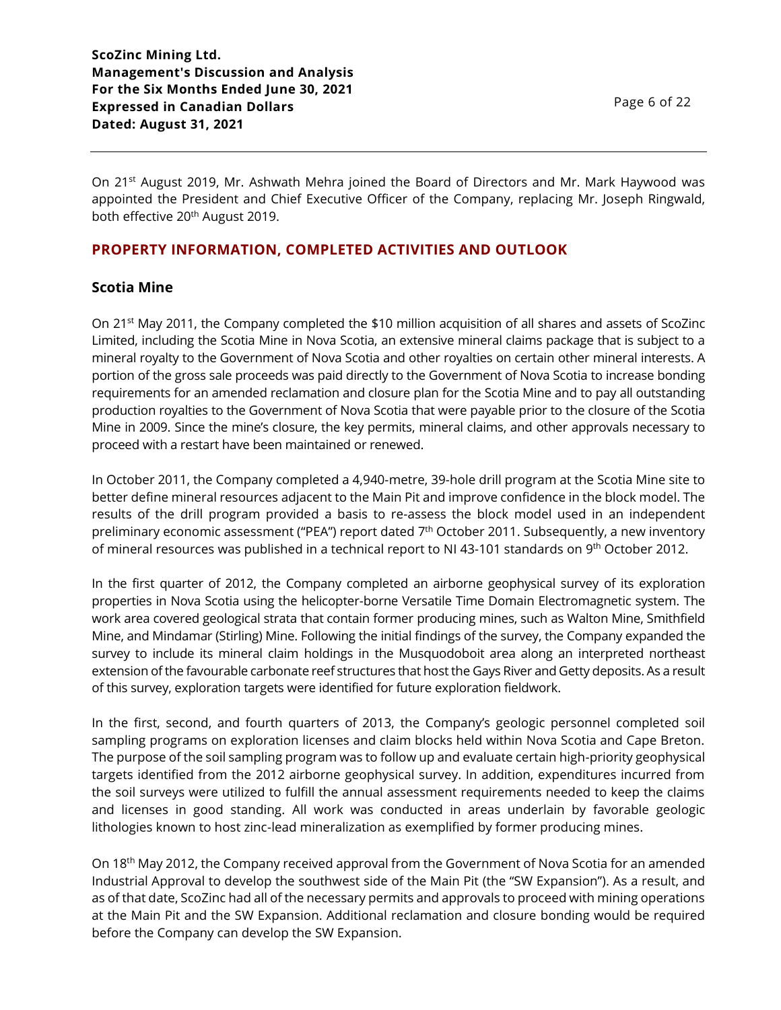Page 6 of 22

On 21<sup>st</sup> August 2019, Mr. Ashwath Mehra joined the Board of Directors and Mr. Mark Haywood was appointed the President and Chief Executive Officer of the Company, replacing Mr. Joseph Ringwald, both effective 20<sup>th</sup> August 2019.

# **PROPERTY INFORMATION, COMPLETED ACTIVITIES AND OUTLOOK**

## **Scotia Mine**

On 21st May 2011, the Company completed the \$10 million acquisition of all shares and assets of ScoZinc Limited, including the Scotia Mine in Nova Scotia, an extensive mineral claims package that is subject to a mineral royalty to the Government of Nova Scotia and other royalties on certain other mineral interests. A portion of the gross sale proceeds was paid directly to the Government of Nova Scotia to increase bonding requirements for an amended reclamation and closure plan for the Scotia Mine and to pay all outstanding production royalties to the Government of Nova Scotia that were payable prior to the closure of the Scotia Mine in 2009. Since the mine's closure, the key permits, mineral claims, and other approvals necessary to proceed with a restart have been maintained or renewed.

In October 2011, the Company completed a 4,940-metre, 39-hole drill program at the Scotia Mine site to better define mineral resources adjacent to the Main Pit and improve confidence in the block model. The results of the drill program provided a basis to re-assess the block model used in an independent preliminary economic assessment ("PEA") report dated 7<sup>th</sup> October 2011. Subsequently, a new inventory of mineral resources was published in a technical report to NI 43-101 standards on 9<sup>th</sup> October 2012.

In the first quarter of 2012, the Company completed an airborne geophysical survey of its exploration properties in Nova Scotia using the helicopter-borne Versatile Time Domain Electromagnetic system. The work area covered geological strata that contain former producing mines, such as Walton Mine, Smithfield Mine, and Mindamar (Stirling) Mine. Following the initial findings of the survey, the Company expanded the survey to include its mineral claim holdings in the Musquodoboit area along an interpreted northeast extension of the favourable carbonate reef structures that host the Gays River and Getty deposits. As a result of this survey, exploration targets were identified for future exploration fieldwork.

In the first, second, and fourth quarters of 2013, the Company's geologic personnel completed soil sampling programs on exploration licenses and claim blocks held within Nova Scotia and Cape Breton. The purpose of the soil sampling program was to follow up and evaluate certain high-priority geophysical targets identified from the 2012 airborne geophysical survey. In addition, expenditures incurred from the soil surveys were utilized to fulfill the annual assessment requirements needed to keep the claims and licenses in good standing. All work was conducted in areas underlain by favorable geologic lithologies known to host zinc-lead mineralization as exemplified by former producing mines.

On 18th May 2012, the Company received approval from the Government of Nova Scotia for an amended Industrial Approval to develop the southwest side of the Main Pit (the "SW Expansion"). As a result, and as of that date, ScoZinc had all of the necessary permits and approvals to proceed with mining operations at the Main Pit and the SW Expansion. Additional reclamation and closure bonding would be required before the Company can develop the SW Expansion.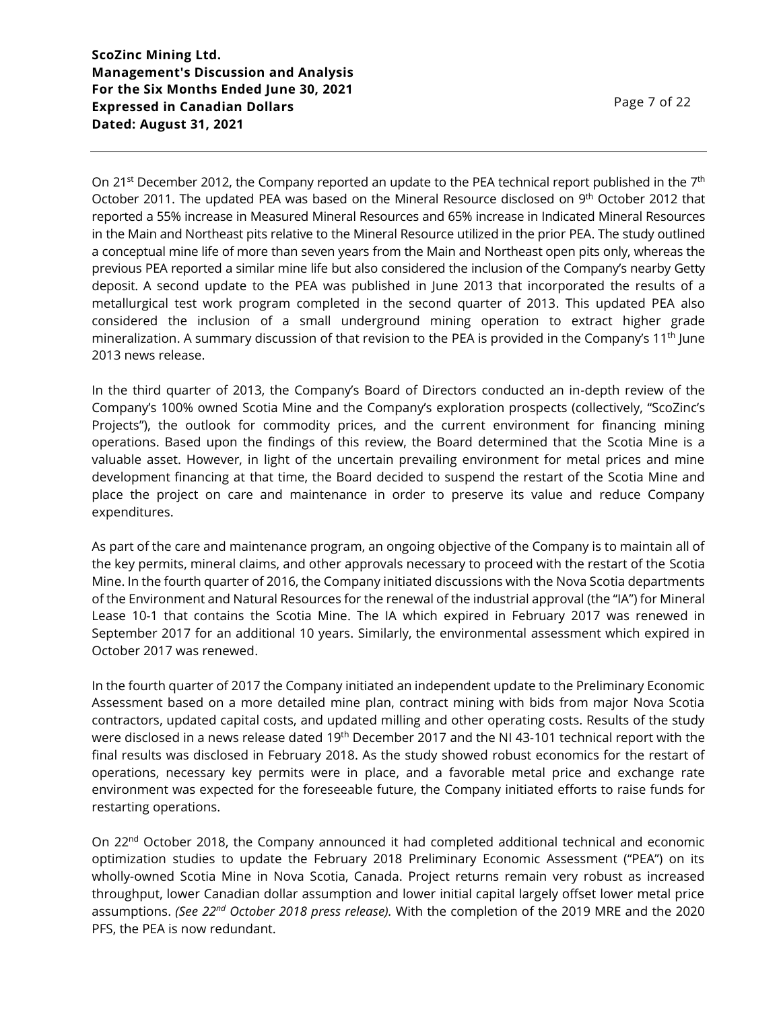On 21<sup>st</sup> December 2012, the Company reported an update to the PEA technical report published in the 7<sup>th</sup> October 2011. The updated PEA was based on the Mineral Resource disclosed on 9<sup>th</sup> October 2012 that reported a 55% increase in Measured Mineral Resources and 65% increase in Indicated Mineral Resources in the Main and Northeast pits relative to the Mineral Resource utilized in the prior PEA. The study outlined a conceptual mine life of more than seven years from the Main and Northeast open pits only, whereas the previous PEA reported a similar mine life but also considered the inclusion of the Company's nearby Getty deposit. A second update to the PEA was published in June 2013 that incorporated the results of a metallurgical test work program completed in the second quarter of 2013. This updated PEA also considered the inclusion of a small underground mining operation to extract higher grade mineralization. A summary discussion of that revision to the PEA is provided in the Company's 11<sup>th</sup> June 2013 news release.

In the third quarter of 2013, the Company's Board of Directors conducted an in-depth review of the Company's 100% owned Scotia Mine and the Company's exploration prospects (collectively, "ScoZinc's Projects"), the outlook for commodity prices, and the current environment for financing mining operations. Based upon the findings of this review, the Board determined that the Scotia Mine is a valuable asset. However, in light of the uncertain prevailing environment for metal prices and mine development financing at that time, the Board decided to suspend the restart of the Scotia Mine and place the project on care and maintenance in order to preserve its value and reduce Company expenditures.

As part of the care and maintenance program, an ongoing objective of the Company is to maintain all of the key permits, mineral claims, and other approvals necessary to proceed with the restart of the Scotia Mine. In the fourth quarter of 2016, the Company initiated discussions with the Nova Scotia departments of the Environment and Natural Resources for the renewal of the industrial approval (the "IA") for Mineral Lease 10-1 that contains the Scotia Mine. The IA which expired in February 2017 was renewed in September 2017 for an additional 10 years. Similarly, the environmental assessment which expired in October 2017 was renewed.

In the fourth quarter of 2017 the Company initiated an independent update to the Preliminary Economic Assessment based on a more detailed mine plan, contract mining with bids from major Nova Scotia contractors, updated capital costs, and updated milling and other operating costs. Results of the study were disclosed in a news release dated 19<sup>th</sup> December 2017 and the NI 43-101 technical report with the final results was disclosed in February 2018. As the study showed robust economics for the restart of operations, necessary key permits were in place, and a favorable metal price and exchange rate environment was expected for the foreseeable future, the Company initiated efforts to raise funds for restarting operations.

On 22nd October 2018, the Company announced it had completed additional technical and economic optimization studies to update the February 2018 Preliminary Economic Assessment ("PEA") on its wholly-owned Scotia Mine in Nova Scotia, Canada. Project returns remain very robust as increased throughput, lower Canadian dollar assumption and lower initial capital largely offset lower metal price assumptions. *(See 22nd October 2018 press release).* With the completion of the 2019 MRE and the 2020 PFS, the PEA is now redundant.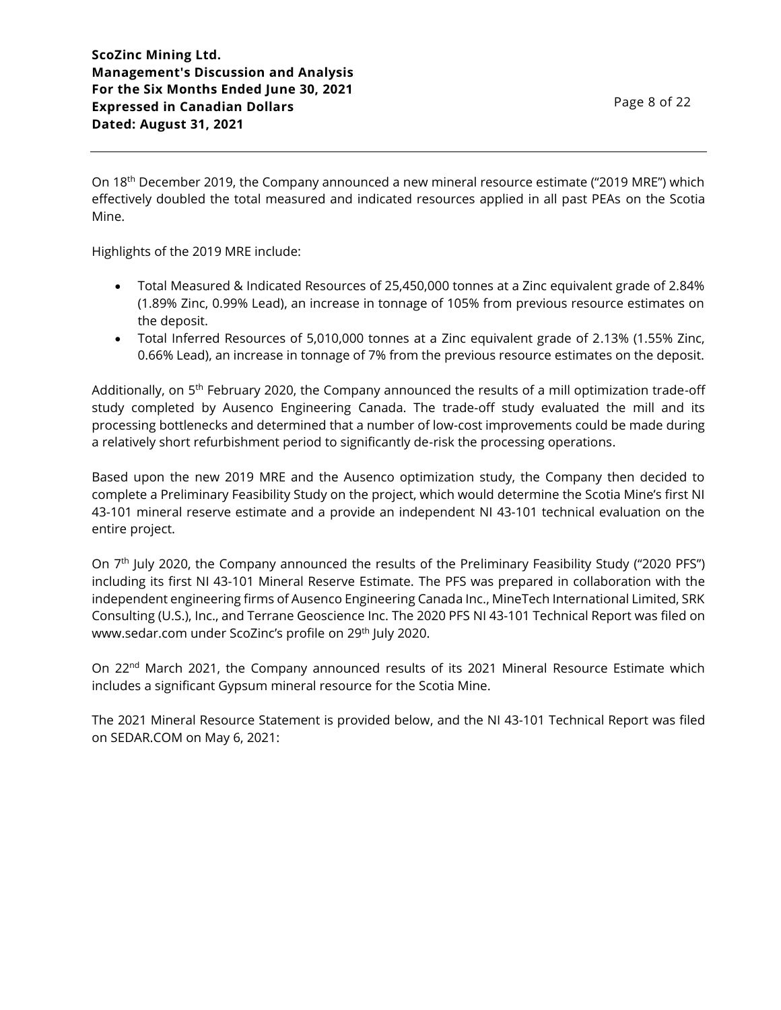On 18<sup>th</sup> December 2019, the Company announced a new mineral resource estimate ("2019 MRE") which effectively doubled the total measured and indicated resources applied in all past PEAs on the Scotia Mine.

Highlights of the 2019 MRE include:

- Total Measured & Indicated Resources of 25,450,000 tonnes at a Zinc equivalent grade of 2.84% (1.89% Zinc, 0.99% Lead), an increase in tonnage of 105% from previous resource estimates on the deposit.
- Total Inferred Resources of 5,010,000 tonnes at a Zinc equivalent grade of 2.13% (1.55% Zinc, 0.66% Lead), an increase in tonnage of 7% from the previous resource estimates on the deposit.

Additionally, on 5<sup>th</sup> February 2020, the Company announced the results of a mill optimization trade-off study completed by Ausenco Engineering Canada. The trade-off study evaluated the mill and its processing bottlenecks and determined that a number of low-cost improvements could be made during a relatively short refurbishment period to significantly de-risk the processing operations.

Based upon the new 2019 MRE and the Ausenco optimization study, the Company then decided to complete a Preliminary Feasibility Study on the project, which would determine the Scotia Mine's first NI 43-101 mineral reserve estimate and a provide an independent NI 43-101 technical evaluation on the entire project.

On 7<sup>th</sup> July 2020, the Company announced the results of the Preliminary Feasibility Study ("2020 PFS") including its first NI 43-101 Mineral Reserve Estimate. The PFS was prepared in collaboration with the independent engineering firms of Ausenco Engineering Canada Inc., MineTech International Limited, SRK Consulting (U.S.), Inc., and Terrane Geoscience Inc. The 2020 PFS NI 43-101 Technical Report was filed on www.sedar.com under ScoZinc's profile on 29<sup>th</sup> July 2020.

On 22<sup>nd</sup> March 2021, the Company announced results of its 2021 Mineral Resource Estimate which includes a significant Gypsum mineral resource for the Scotia Mine.

The 2021 Mineral Resource Statement is provided below, and the NI 43-101 Technical Report was filed on SEDAR.COM on May 6, 2021: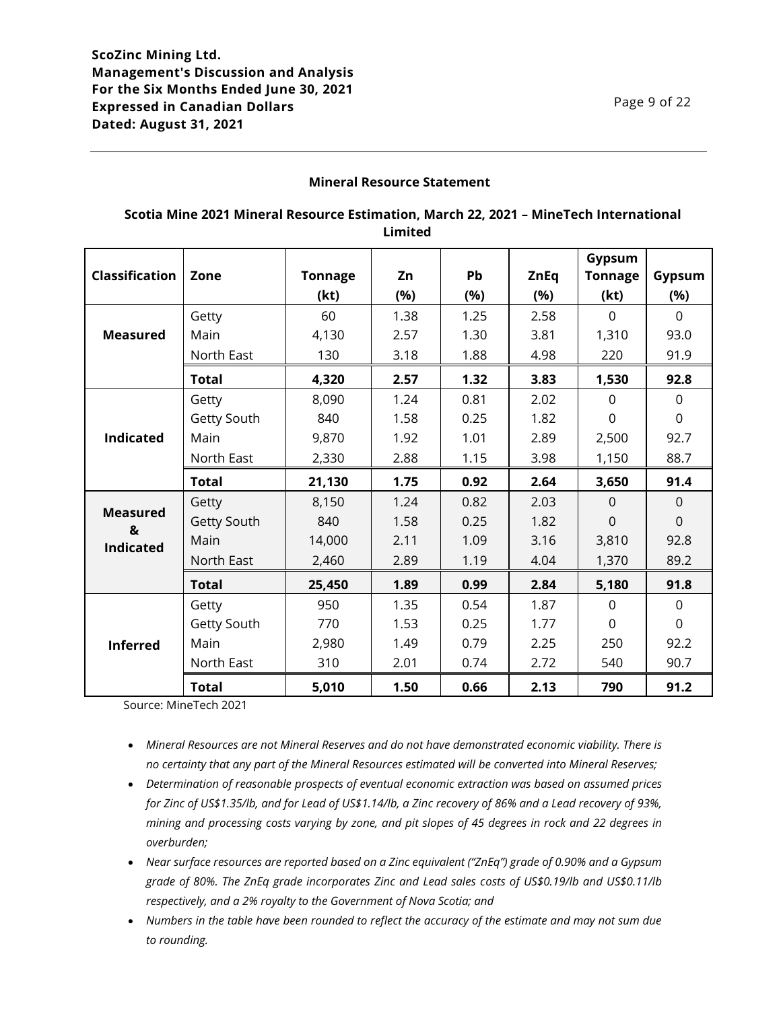## **Mineral Resource Statement**

## **Scotia Mine 2021 Mineral Resource Estimation, March 22, 2021 – MineTech International Limited**

|                       |              |                |      |      |             | Gypsum         |                |
|-----------------------|--------------|----------------|------|------|-------------|----------------|----------------|
| <b>Classification</b> | Zone         | <b>Tonnage</b> | Zn   | Pb   | <b>ZnEq</b> | <b>Tonnage</b> | Gypsum         |
|                       |              | (kt)           | (%)  | (%)  | (%)         | (kt)           | (%)            |
|                       | Getty        | 60             | 1.38 | 1.25 | 2.58        | $\mathbf 0$    | $\Omega$       |
| <b>Measured</b>       | Main         | 4,130          | 2.57 | 1.30 | 3.81        | 1,310          | 93.0           |
|                       | North East   | 130            | 3.18 | 1.88 | 4.98        | 220            | 91.9           |
|                       | <b>Total</b> | 4,320          | 2.57 | 1.32 | 3.83        | 1,530          | 92.8           |
|                       | Getty        | 8,090          | 1.24 | 0.81 | 2.02        | $\mathbf 0$    | $\mathbf 0$    |
|                       | Getty South  | 840            | 1.58 | 0.25 | 1.82        | $\Omega$       | $\Omega$       |
| <b>Indicated</b>      | Main         | 9,870          | 1.92 | 1.01 | 2.89        | 2,500          | 92.7           |
|                       | North East   | 2,330          | 2.88 | 1.15 | 3.98        | 1,150          | 88.7           |
|                       | <b>Total</b> | 21,130         | 1.75 | 0.92 | 2.64        | 3,650          | 91.4           |
|                       | Getty        | 8,150          | 1.24 | 0.82 | 2.03        | $\overline{0}$ | $\mathbf 0$    |
| <b>Measured</b><br>&  | Getty South  | 840            | 1.58 | 0.25 | 1.82        | $\overline{0}$ | $\overline{0}$ |
| <b>Indicated</b>      | Main         | 14,000         | 2.11 | 1.09 | 3.16        | 3,810          | 92.8           |
|                       | North East   | 2,460          | 2.89 | 1.19 | 4.04        | 1,370          | 89.2           |
|                       | <b>Total</b> | 25,450         | 1.89 | 0.99 | 2.84        | 5,180          | 91.8           |
| <b>Inferred</b>       | Getty        | 950            | 1.35 | 0.54 | 1.87        | $\mathbf 0$    | $\mathbf 0$    |
|                       | Getty South  | 770            | 1.53 | 0.25 | 1.77        | $\Omega$       | $\overline{0}$ |
|                       | Main         | 2,980          | 1.49 | 0.79 | 2.25        | 250            | 92.2           |
|                       | North East   | 310            | 2.01 | 0.74 | 2.72        | 540            | 90.7           |
|                       | Total        | 5,010          | 1.50 | 0.66 | 2.13        | 790            | 91.2           |

Source: MineTech 2021

- *Mineral Resources are not Mineral Reserves and do not have demonstrated economic viability. There is no certainty that any part of the Mineral Resources estimated will be converted into Mineral Reserves;*
- *Determination of reasonable prospects of eventual economic extraction was based on assumed prices for Zinc of US\$1.35/lb, and for Lead of US\$1.14/lb, a Zinc recovery of 86% and a Lead recovery of 93%, mining and processing costs varying by zone, and pit slopes of 45 degrees in rock and 22 degrees in overburden;*
- *Near surface resources are reported based on a Zinc equivalent ("ZnEq") grade of 0.90% and a Gypsum grade of 80%. The ZnEq grade incorporates Zinc and Lead sales costs of US\$0.19/lb and US\$0.11/lb respectively, and a 2% royalty to the Government of Nova Scotia; and*
- *Numbers in the table have been rounded to reflect the accuracy of the estimate and may not sum due to rounding.*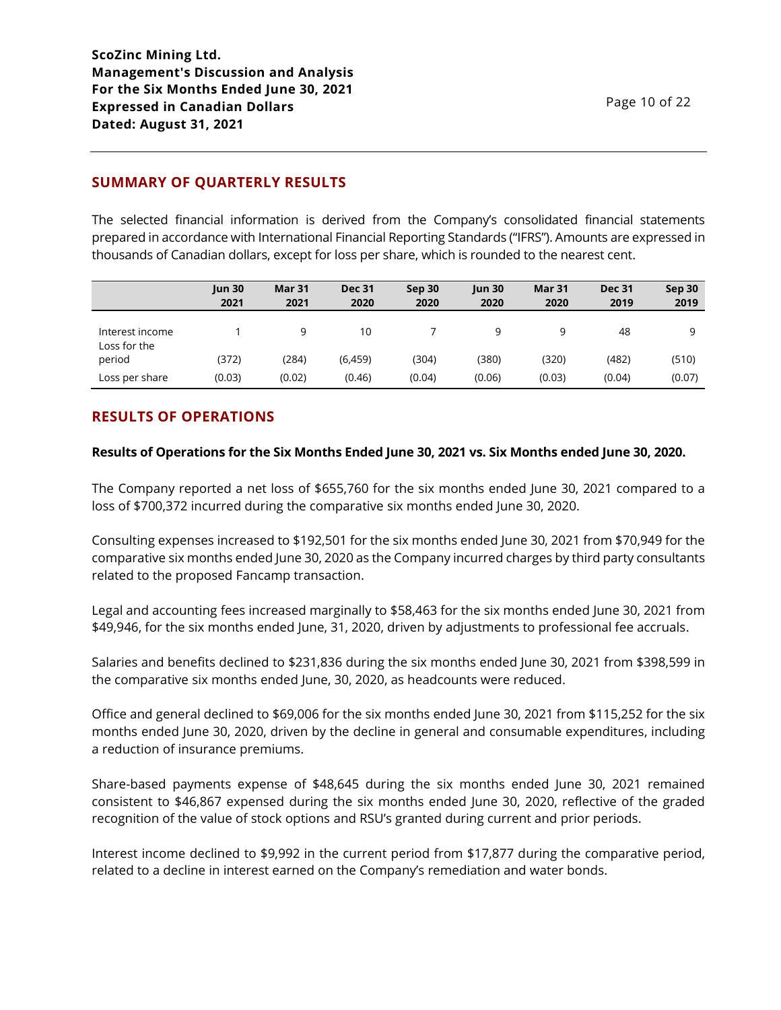# **SUMMARY OF QUARTERLY RESULTS**

The selected financial information is derived from the Company's consolidated financial statements prepared in accordance with International Financial Reporting Standards ("IFRS"). Amounts are expressed in thousands of Canadian dollars, except for loss per share, which is rounded to the nearest cent.

|                                 | <b>Jun 30</b><br>2021 | Mar 31<br>2021 | <b>Dec 31</b><br>2020 | Sep 30<br>2020 | <b>Jun 30</b><br>2020 | <b>Mar 31</b><br>2020 | <b>Dec 31</b><br>2019 | Sep 30<br>2019 |
|---------------------------------|-----------------------|----------------|-----------------------|----------------|-----------------------|-----------------------|-----------------------|----------------|
| Interest income<br>Loss for the |                       | q              | 10                    |                | 9                     | 9                     | 48                    | a              |
| period                          | (372)                 | (284)          | (6, 459)              | (304)          | (380)                 | (320)                 | (482)                 | (510)          |
| Loss per share                  | (0.03)                | (0.02)         | (0.46)                | (0.04)         | (0.06)                | (0.03)                | (0.04)                | (0.07)         |

# **RESULTS OF OPERATIONS**

### **Results of Operations for the Six Months Ended June 30, 2021 vs. Six Months ended June 30, 2020.**

The Company reported a net loss of \$655,760 for the six months ended June 30, 2021 compared to a loss of \$700,372 incurred during the comparative six months ended June 30, 2020.

Consulting expenses increased to \$192,501 for the six months ended June 30, 2021 from \$70,949 for the comparative six months ended June 30, 2020 as the Company incurred charges by third party consultants related to the proposed Fancamp transaction.

Legal and accounting fees increased marginally to \$58,463 for the six months ended June 30, 2021 from \$49,946, for the six months ended June, 31, 2020, driven by adjustments to professional fee accruals.

Salaries and benefits declined to \$231,836 during the six months ended June 30, 2021 from \$398,599 in the comparative six months ended June, 30, 2020, as headcounts were reduced.

Office and general declined to \$69,006 for the six months ended June 30, 2021 from \$115,252 for the six months ended June 30, 2020, driven by the decline in general and consumable expenditures, including a reduction of insurance premiums.

Share-based payments expense of \$48,645 during the six months ended June 30, 2021 remained consistent to \$46,867 expensed during the six months ended June 30, 2020, reflective of the graded recognition of the value of stock options and RSU's granted during current and prior periods.

Interest income declined to \$9,992 in the current period from \$17,877 during the comparative period, related to a decline in interest earned on the Company's remediation and water bonds.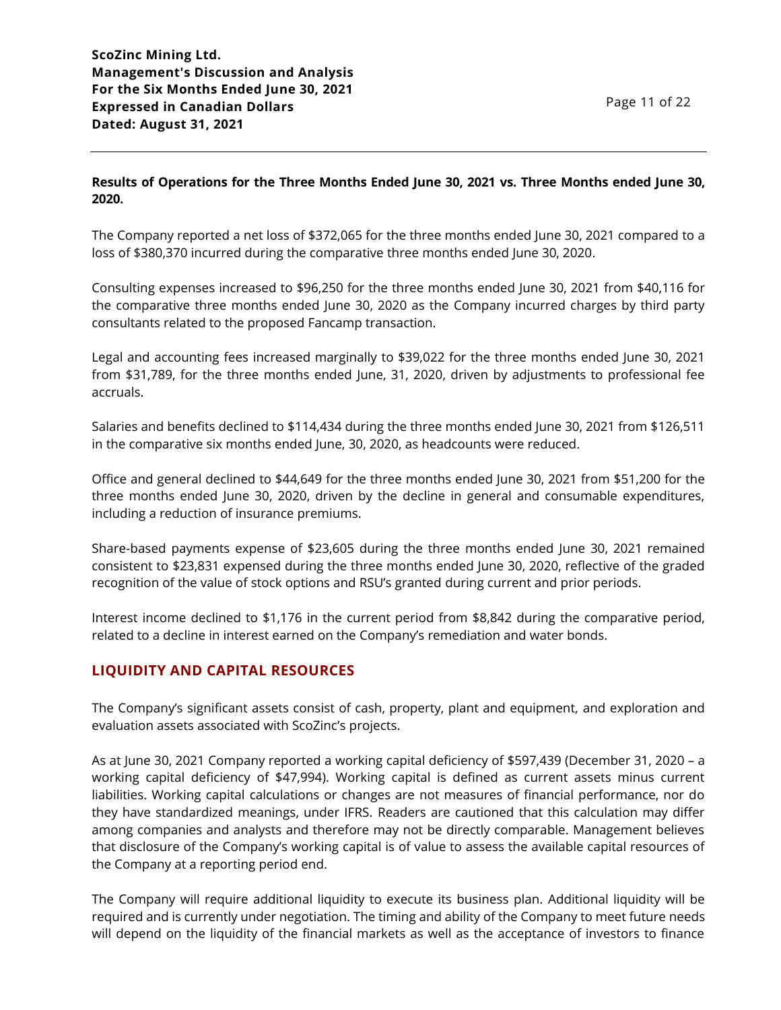# **Results of Operations for the Three Months Ended June 30, 2021 vs. Three Months ended June 30, 2020.**

The Company reported a net loss of \$372,065 for the three months ended June 30, 2021 compared to a loss of \$380,370 incurred during the comparative three months ended June 30, 2020.

Consulting expenses increased to \$96,250 for the three months ended June 30, 2021 from \$40,116 for the comparative three months ended June 30, 2020 as the Company incurred charges by third party consultants related to the proposed Fancamp transaction.

Legal and accounting fees increased marginally to \$39,022 for the three months ended June 30, 2021 from \$31,789, for the three months ended June, 31, 2020, driven by adjustments to professional fee accruals.

Salaries and benefits declined to \$114,434 during the three months ended June 30, 2021 from \$126,511 in the comparative six months ended June, 30, 2020, as headcounts were reduced.

Office and general declined to \$44,649 for the three months ended June 30, 2021 from \$51,200 for the three months ended June 30, 2020, driven by the decline in general and consumable expenditures, including a reduction of insurance premiums.

Share-based payments expense of \$23,605 during the three months ended June 30, 2021 remained consistent to \$23,831 expensed during the three months ended June 30, 2020, reflective of the graded recognition of the value of stock options and RSU's granted during current and prior periods.

Interest income declined to \$1,176 in the current period from \$8,842 during the comparative period, related to a decline in interest earned on the Company's remediation and water bonds.

# **LIQUIDITY AND CAPITAL RESOURCES**

The Company's significant assets consist of cash, property, plant and equipment, and exploration and evaluation assets associated with ScoZinc's projects.

As at June 30, 2021 Company reported a working capital deficiency of \$597,439 (December 31, 2020 – a working capital deficiency of \$47,994). Working capital is defined as current assets minus current liabilities. Working capital calculations or changes are not measures of financial performance, nor do they have standardized meanings, under IFRS. Readers are cautioned that this calculation may differ among companies and analysts and therefore may not be directly comparable. Management believes that disclosure of the Company's working capital is of value to assess the available capital resources of the Company at a reporting period end.

The Company will require additional liquidity to execute its business plan. Additional liquidity will be required and is currently under negotiation. The timing and ability of the Company to meet future needs will depend on the liquidity of the financial markets as well as the acceptance of investors to finance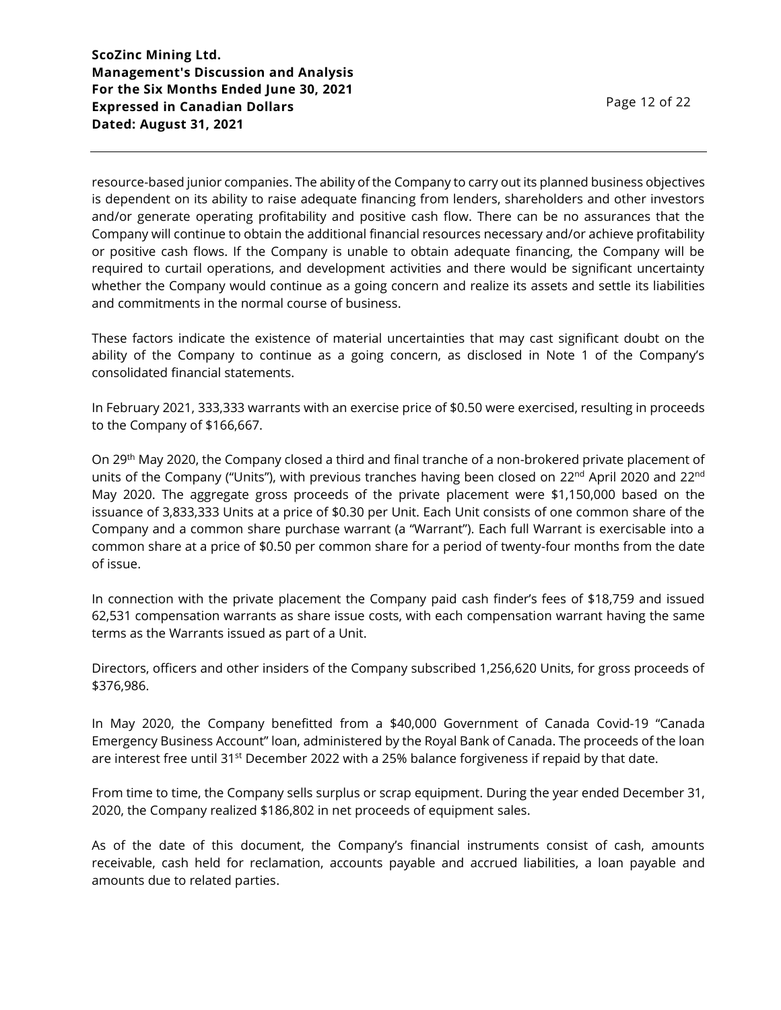resource-based junior companies. The ability of the Company to carry out its planned business objectives is dependent on its ability to raise adequate financing from lenders, shareholders and other investors and/or generate operating profitability and positive cash flow. There can be no assurances that the Company will continue to obtain the additional financial resources necessary and/or achieve profitability or positive cash flows. If the Company is unable to obtain adequate financing, the Company will be required to curtail operations, and development activities and there would be significant uncertainty whether the Company would continue as a going concern and realize its assets and settle its liabilities and commitments in the normal course of business.

These factors indicate the existence of material uncertainties that may cast significant doubt on the ability of the Company to continue as a going concern, as disclosed in Note 1 of the Company's consolidated financial statements.

In February 2021, 333,333 warrants with an exercise price of \$0.50 were exercised, resulting in proceeds to the Company of \$166,667.

On 29th May 2020, the Company closed a third and final tranche of a non-brokered private placement of units of the Company ("Units"), with previous tranches having been closed on 22<sup>nd</sup> April 2020 and 22<sup>nd</sup> May 2020. The aggregate gross proceeds of the private placement were \$1,150,000 based on the issuance of 3,833,333 Units at a price of \$0.30 per Unit. Each Unit consists of one common share of the Company and a common share purchase warrant (a "Warrant"). Each full Warrant is exercisable into a common share at a price of \$0.50 per common share for a period of twenty-four months from the date of issue.

In connection with the private placement the Company paid cash finder's fees of \$18,759 and issued 62,531 compensation warrants as share issue costs, with each compensation warrant having the same terms as the Warrants issued as part of a Unit.

Directors, officers and other insiders of the Company subscribed 1,256,620 Units, for gross proceeds of \$376,986.

In May 2020, the Company benefitted from a \$40,000 Government of Canada Covid-19 "Canada Emergency Business Account" loan, administered by the Royal Bank of Canada. The proceeds of the loan are interest free until 31<sup>st</sup> December 2022 with a 25% balance forgiveness if repaid by that date.

From time to time, the Company sells surplus or scrap equipment. During the year ended December 31, 2020, the Company realized \$186,802 in net proceeds of equipment sales.

As of the date of this document, the Company's financial instruments consist of cash, amounts receivable, cash held for reclamation, accounts payable and accrued liabilities, a loan payable and amounts due to related parties.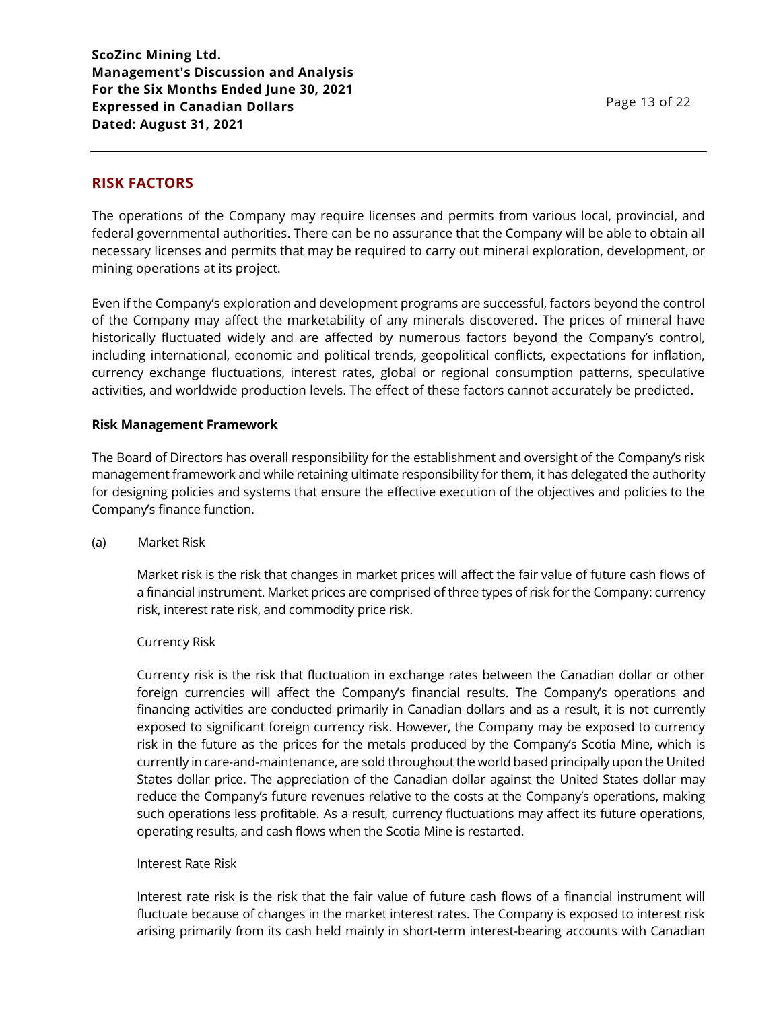### **RISK FACTORS**

The operations of the Company may require licenses and permits from various local, provincial, and federal governmental authorities. There can be no assurance that the Company will be able to obtain all necessary licenses and permits that may be required to carry out mineral exploration, development, or mining operations at its project.

Even if the Company's exploration and development programs are successful, factors beyond the control of the Company may affect the marketability of any minerals discovered. The prices of mineral have historically fluctuated widely and are affected by numerous factors beyond the Company's control, including international, economic and political trends, geopolitical conflicts, expectations for inflation, currency exchange fluctuations, interest rates, global or regional consumption patterns, speculative activities, and worldwide production levels. The effect of these factors cannot accurately be predicted.

#### **Risk Management Framework**

The Board of Directors has overall responsibility for the establishment and oversight of the Company's risk management framework and while retaining ultimate responsibility for them, it has delegated the authority for designing policies and systems that ensure the effective execution of the objectives and policies to the Company's finance function.

#### (a) Market Risk

Market risk is the risk that changes in market prices will affect the fair value of future cash flows of a financial instrument. Market prices are comprised of three types of risk for the Company: currency risk, interest rate risk, and commodity price risk.

#### Currency Risk

Currency risk is the risk that fluctuation in exchange rates between the Canadian dollar or other foreign currencies will affect the Company's financial results. The Company's operations and financing activities are conducted primarily in Canadian dollars and as a result, it is not currently exposed to significant foreign currency risk. However, the Company may be exposed to currency risk in the future as the prices for the metals produced by the Company's Scotia Mine, which is currently in care-and-maintenance, are sold throughout the world based principally upon the United States dollar price. The appreciation of the Canadian dollar against the United States dollar may reduce the Company's future revenues relative to the costs at the Company's operations, making such operations less profitable. As a result, currency fluctuations may affect its future operations, operating results, and cash flows when the Scotia Mine is restarted.

#### Interest Rate Risk

Interest rate risk is the risk that the fair value of future cash flows of a financial instrument will fluctuate because of changes in the market interest rates. The Company is exposed to interest risk arising primarily from its cash held mainly in short-term interest-bearing accounts with Canadian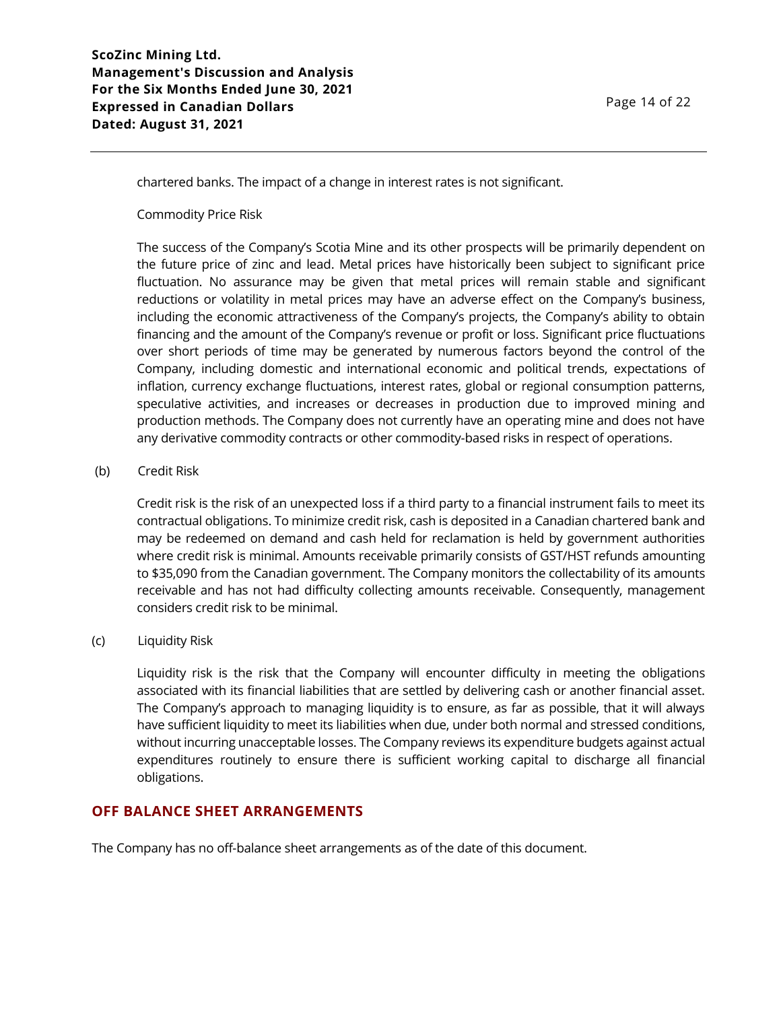chartered banks. The impact of a change in interest rates is not significant.

Commodity Price Risk

The success of the Company's Scotia Mine and its other prospects will be primarily dependent on the future price of zinc and lead. Metal prices have historically been subject to significant price fluctuation. No assurance may be given that metal prices will remain stable and significant reductions or volatility in metal prices may have an adverse effect on the Company's business, including the economic attractiveness of the Company's projects, the Company's ability to obtain financing and the amount of the Company's revenue or profit or loss. Significant price fluctuations over short periods of time may be generated by numerous factors beyond the control of the Company, including domestic and international economic and political trends, expectations of inflation, currency exchange fluctuations, interest rates, global or regional consumption patterns, speculative activities, and increases or decreases in production due to improved mining and production methods. The Company does not currently have an operating mine and does not have any derivative commodity contracts or other commodity-based risks in respect of operations.

### (b) Credit Risk

Credit risk is the risk of an unexpected loss if a third party to a financial instrument fails to meet its contractual obligations. To minimize credit risk, cash is deposited in a Canadian chartered bank and may be redeemed on demand and cash held for reclamation is held by government authorities where credit risk is minimal. Amounts receivable primarily consists of GST/HST refunds amounting to \$35,090 from the Canadian government. The Company monitors the collectability of its amounts receivable and has not had difficulty collecting amounts receivable. Consequently, management considers credit risk to be minimal.

### (c) Liquidity Risk

Liquidity risk is the risk that the Company will encounter difficulty in meeting the obligations associated with its financial liabilities that are settled by delivering cash or another financial asset. The Company's approach to managing liquidity is to ensure, as far as possible, that it will always have sufficient liquidity to meet its liabilities when due, under both normal and stressed conditions, without incurring unacceptable losses. The Company reviews its expenditure budgets against actual expenditures routinely to ensure there is sufficient working capital to discharge all financial obligations.

### **OFF BALANCE SHEET ARRANGEMENTS**

The Company has no off-balance sheet arrangements as of the date of this document.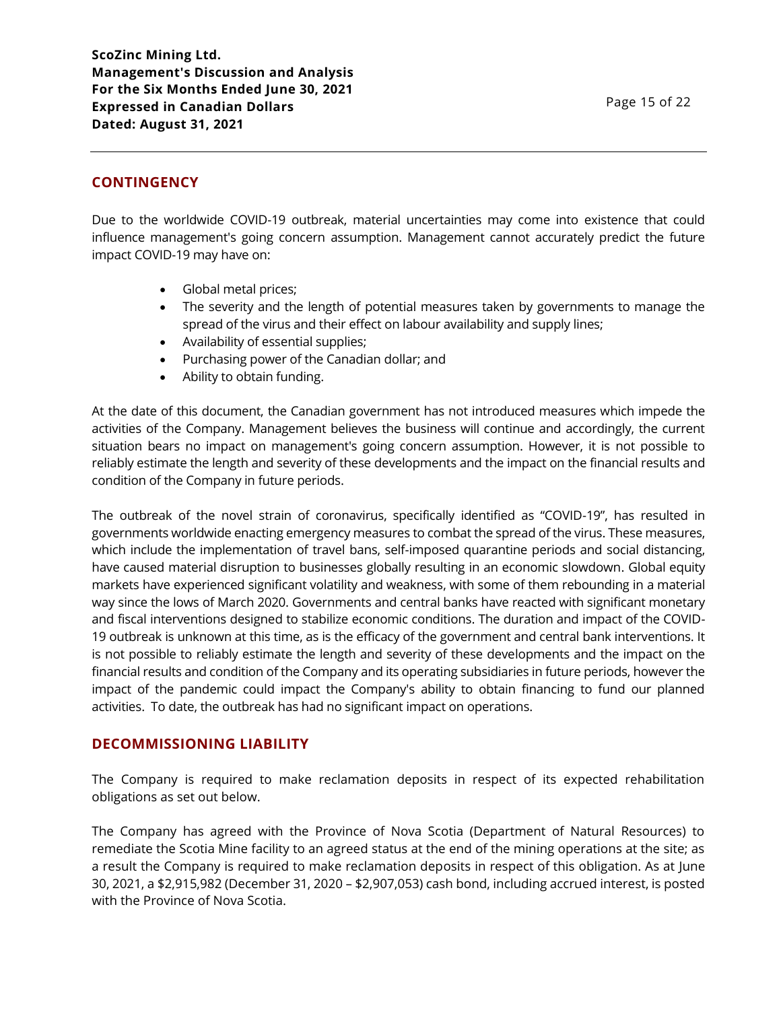## **CONTINGENCY**

Due to the worldwide COVID-19 outbreak, material uncertainties may come into existence that could influence management's going concern assumption. Management cannot accurately predict the future impact COVID-19 may have on:

- Global metal prices;
- The severity and the length of potential measures taken by governments to manage the spread of the virus and their effect on labour availability and supply lines;
- Availability of essential supplies;
- Purchasing power of the Canadian dollar; and
- Ability to obtain funding.

At the date of this document, the Canadian government has not introduced measures which impede the activities of the Company. Management believes the business will continue and accordingly, the current situation bears no impact on management's going concern assumption. However, it is not possible to reliably estimate the length and severity of these developments and the impact on the financial results and condition of the Company in future periods.

The outbreak of the novel strain of coronavirus, specifically identified as "COVID-19", has resulted in governments worldwide enacting emergency measures to combat the spread of the virus. These measures, which include the implementation of travel bans, self-imposed quarantine periods and social distancing, have caused material disruption to businesses globally resulting in an economic slowdown. Global equity markets have experienced significant volatility and weakness, with some of them rebounding in a material way since the lows of March 2020. Governments and central banks have reacted with significant monetary and fiscal interventions designed to stabilize economic conditions. The duration and impact of the COVID-19 outbreak is unknown at this time, as is the efficacy of the government and central bank interventions. It is not possible to reliably estimate the length and severity of these developments and the impact on the financial results and condition of the Company and its operating subsidiaries in future periods, however the impact of the pandemic could impact the Company's ability to obtain financing to fund our planned activities. To date, the outbreak has had no significant impact on operations.

### **DECOMMISSIONING LIABILITY**

The Company is required to make reclamation deposits in respect of its expected rehabilitation obligations as set out below.

The Company has agreed with the Province of Nova Scotia (Department of Natural Resources) to remediate the Scotia Mine facility to an agreed status at the end of the mining operations at the site; as a result the Company is required to make reclamation deposits in respect of this obligation. As at June 30, 2021, a \$2,915,982 (December 31, 2020 – \$2,907,053) cash bond, including accrued interest, is posted with the Province of Nova Scotia.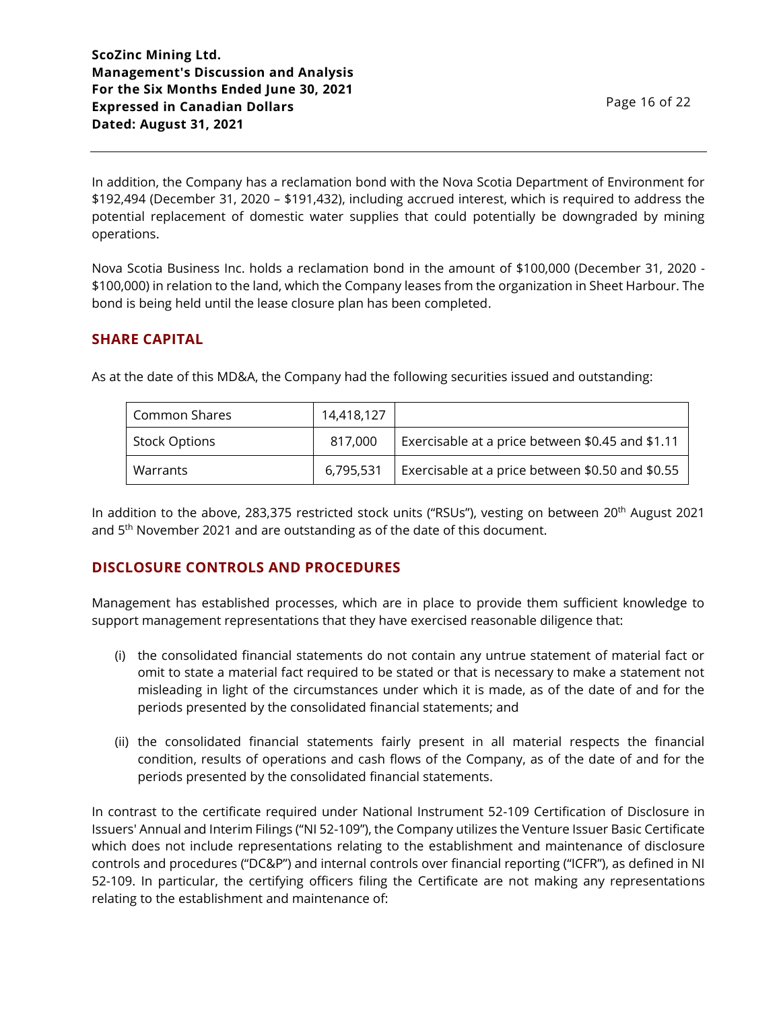In addition, the Company has a reclamation bond with the Nova Scotia Department of Environment for \$192,494 (December 31, 2020 – \$191,432), including accrued interest, which is required to address the potential replacement of domestic water supplies that could potentially be downgraded by mining operations.

Nova Scotia Business Inc. holds a reclamation bond in the amount of \$100,000 (December 31, 2020 - \$100,000) in relation to the land, which the Company leases from the organization in Sheet Harbour. The bond is being held until the lease closure plan has been completed.

# **SHARE CAPITAL**

| Common Shares        | 14,418,127 |                                                  |
|----------------------|------------|--------------------------------------------------|
| <b>Stock Options</b> | 817.000    | Exercisable at a price between \$0.45 and \$1.11 |
| Warrants             | 6,795,531  | Exercisable at a price between \$0.50 and \$0.55 |

As at the date of this MD&A, the Company had the following securities issued and outstanding:

In addition to the above, 283,375 restricted stock units ("RSUs"), vesting on between 20th August 2021 and 5<sup>th</sup> November 2021 and are outstanding as of the date of this document.

# **DISCLOSURE CONTROLS AND PROCEDURES**

Management has established processes, which are in place to provide them sufficient knowledge to support management representations that they have exercised reasonable diligence that:

- (i) the consolidated financial statements do not contain any untrue statement of material fact or omit to state a material fact required to be stated or that is necessary to make a statement not misleading in light of the circumstances under which it is made, as of the date of and for the periods presented by the consolidated financial statements; and
- (ii) the consolidated financial statements fairly present in all material respects the financial condition, results of operations and cash flows of the Company, as of the date of and for the periods presented by the consolidated financial statements.

In contrast to the certificate required under National Instrument 52-109 Certification of Disclosure in Issuers' Annual and Interim Filings ("NI 52-109"), the Company utilizes the Venture Issuer Basic Certificate which does not include representations relating to the establishment and maintenance of disclosure controls and procedures ("DC&P") and internal controls over financial reporting ("ICFR"), as defined in NI 52-109. In particular, the certifying officers filing the Certificate are not making any representations relating to the establishment and maintenance of: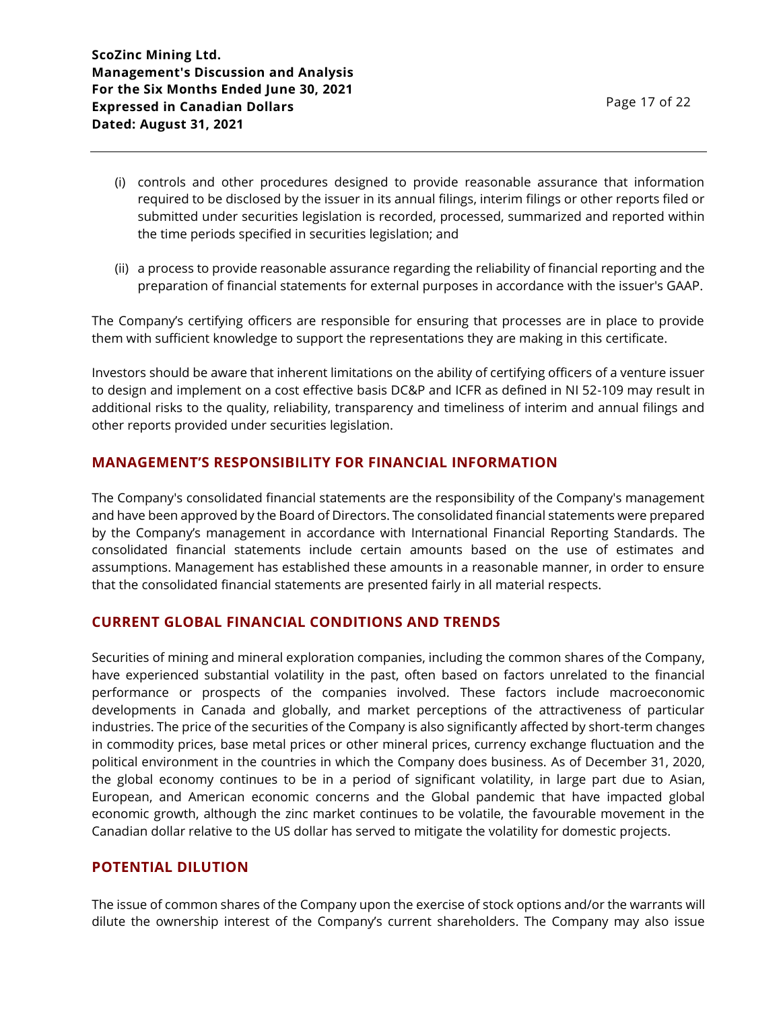- (i) controls and other procedures designed to provide reasonable assurance that information required to be disclosed by the issuer in its annual filings, interim filings or other reports filed or submitted under securities legislation is recorded, processed, summarized and reported within the time periods specified in securities legislation; and
- (ii) a process to provide reasonable assurance regarding the reliability of financial reporting and the preparation of financial statements for external purposes in accordance with the issuer's GAAP.

The Company's certifying officers are responsible for ensuring that processes are in place to provide them with sufficient knowledge to support the representations they are making in this certificate.

Investors should be aware that inherent limitations on the ability of certifying officers of a venture issuer to design and implement on a cost effective basis DC&P and ICFR as defined in NI 52-109 may result in additional risks to the quality, reliability, transparency and timeliness of interim and annual filings and other reports provided under securities legislation.

# **MANAGEMENT'S RESPONSIBILITY FOR FINANCIAL INFORMATION**

The Company's consolidated financial statements are the responsibility of the Company's management and have been approved by the Board of Directors. The consolidated financial statements were prepared by the Company's management in accordance with International Financial Reporting Standards. The consolidated financial statements include certain amounts based on the use of estimates and assumptions. Management has established these amounts in a reasonable manner, in order to ensure that the consolidated financial statements are presented fairly in all material respects.

### **CURRENT GLOBAL FINANCIAL CONDITIONS AND TRENDS**

Securities of mining and mineral exploration companies, including the common shares of the Company, have experienced substantial volatility in the past, often based on factors unrelated to the financial performance or prospects of the companies involved. These factors include macroeconomic developments in Canada and globally, and market perceptions of the attractiveness of particular industries. The price of the securities of the Company is also significantly affected by short-term changes in commodity prices, base metal prices or other mineral prices, currency exchange fluctuation and the political environment in the countries in which the Company does business. As of December 31, 2020, the global economy continues to be in a period of significant volatility, in large part due to Asian, European, and American economic concerns and the Global pandemic that have impacted global economic growth, although the zinc market continues to be volatile, the favourable movement in the Canadian dollar relative to the US dollar has served to mitigate the volatility for domestic projects.

### **POTENTIAL DILUTION**

The issue of common shares of the Company upon the exercise of stock options and/or the warrants will dilute the ownership interest of the Company's current shareholders. The Company may also issue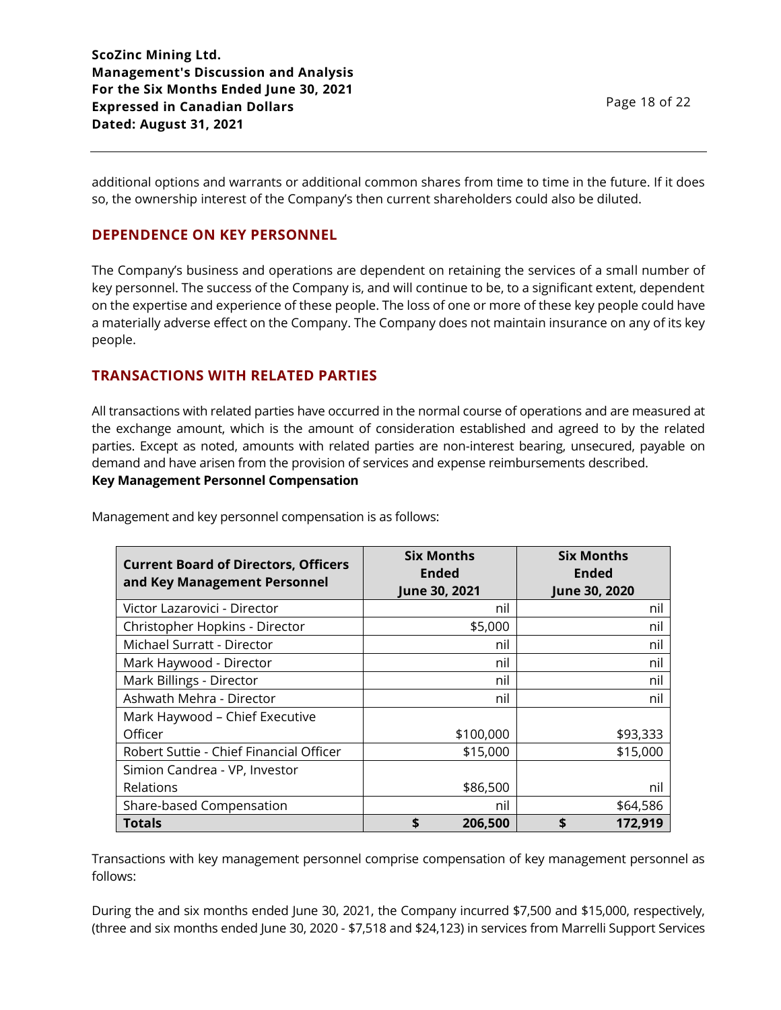additional options and warrants or additional common shares from time to time in the future. If it does so, the ownership interest of the Company's then current shareholders could also be diluted.

# **DEPENDENCE ON KEY PERSONNEL**

The Company's business and operations are dependent on retaining the services of a small number of key personnel. The success of the Company is, and will continue to be, to a significant extent, dependent on the expertise and experience of these people. The loss of one or more of these key people could have a materially adverse effect on the Company. The Company does not maintain insurance on any of its key people.

# **TRANSACTIONS WITH RELATED PARTIES**

All transactions with related parties have occurred in the normal course of operations and are measured at the exchange amount, which is the amount of consideration established and agreed to by the related parties. Except as noted, amounts with related parties are non-interest bearing, unsecured, payable on demand and have arisen from the provision of services and expense reimbursements described.

### **Key Management Personnel Compensation**

| <b>Current Board of Directors, Officers</b><br>and Key Management Personnel | <b>Six Months</b><br><b>Ended</b><br>June 30, 2021 | <b>Six Months</b><br><b>Ended</b><br>June 30, 2020 |
|-----------------------------------------------------------------------------|----------------------------------------------------|----------------------------------------------------|
| Victor Lazarovici - Director                                                | nil                                                | nil                                                |
| Christopher Hopkins - Director                                              | \$5,000                                            | nil                                                |
| Michael Surratt - Director                                                  | nil                                                | nil                                                |
| Mark Haywood - Director                                                     | nil                                                | nil                                                |
| Mark Billings - Director                                                    | nil                                                | nil                                                |
| Ashwath Mehra - Director                                                    | nil                                                | nil                                                |
| Mark Haywood - Chief Executive                                              |                                                    |                                                    |
| Officer                                                                     | \$100,000                                          | \$93,333                                           |
| Robert Suttie - Chief Financial Officer                                     | \$15,000                                           | \$15,000                                           |
| Simion Candrea - VP, Investor                                               |                                                    |                                                    |
| Relations                                                                   | \$86,500                                           | nil                                                |
| Share-based Compensation                                                    | nil                                                | \$64,586                                           |
| Totals                                                                      | \$<br>206,500                                      | \$<br>172,919                                      |

Management and key personnel compensation is as follows:

Transactions with key management personnel comprise compensation of key management personnel as follows:

During the and six months ended June 30, 2021, the Company incurred \$7,500 and \$15,000, respectively, (three and six months ended June 30, 2020 - \$7,518 and \$24,123) in services from Marrelli Support Services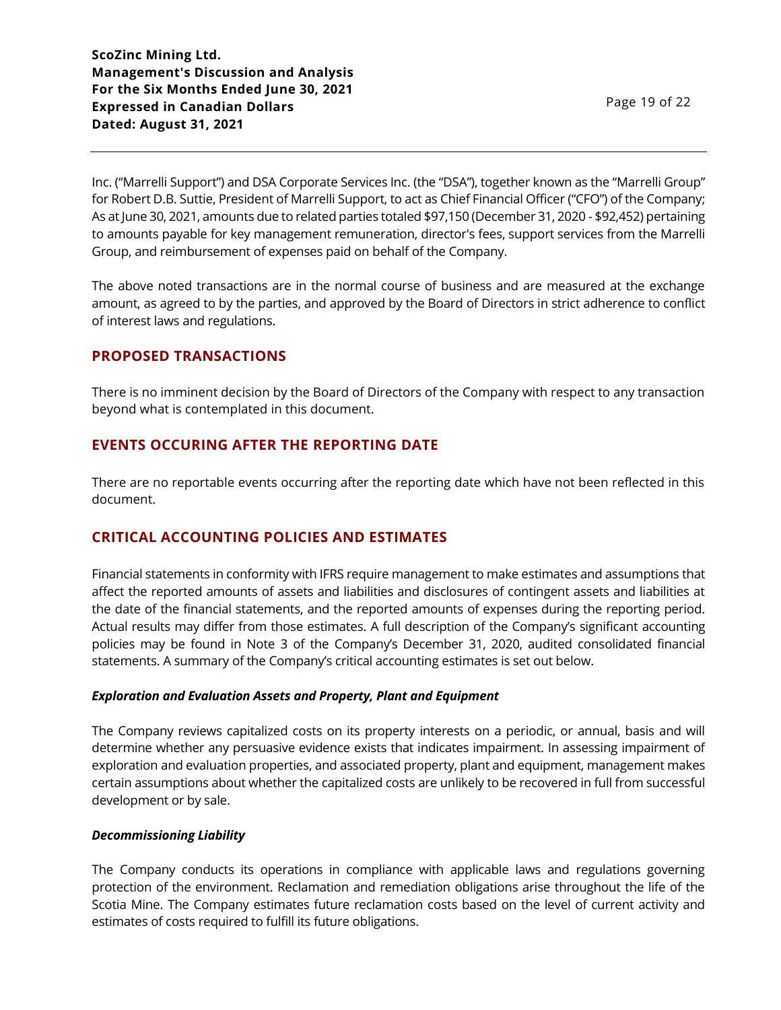Inc. ("Marrelli Support") and DSA Corporate Services Inc. (the "DSA"), together known as the "Marrelli Group" for Robert D.B. Suttie, President of Marrelli Support, to act as Chief Financial Officer ("CFO") of the Company; As at June 30, 2021, amounts due to related parties totaled \$97,150 (December 31, 2020 - \$92,452) pertaining to amounts payable for key management remuneration, director's fees, support services from the Marrelli Group, and reimbursement of expenses paid on behalf of the Company.

The above noted transactions are in the normal course of business and are measured at the exchange amount, as agreed to by the parties, and approved by the Board of Directors in strict adherence to conflict of interest laws and regulations.

# **PROPOSED TRANSACTIONS**

There is no imminent decision by the Board of Directors of the Company with respect to any transaction beyond what is contemplated in this document.

### **EVENTS OCCURING AFTER THE REPORTING DATE**

There are no reportable events occurring after the reporting date which have not been reflected in this document.

# **CRITICAL ACCOUNTING POLICIES AND ESTIMATES**

Financial statements in conformity with IFRS require management to make estimates and assumptions that affect the reported amounts of assets and liabilities and disclosures of contingent assets and liabilities at the date of the financial statements, and the reported amounts of expenses during the reporting period. Actual results may differ from those estimates. A full description of the Company's significant accounting policies may be found in Note 3 of the Company's December 31, 2020, audited consolidated financial statements. A summary of the Company's critical accounting estimates is set out below.

#### *Exploration and Evaluation Assets and Property, Plant and Equipment*

The Company reviews capitalized costs on its property interests on a periodic, or annual, basis and will determine whether any persuasive evidence exists that indicates impairment. In assessing impairment of exploration and evaluation properties, and associated property, plant and equipment, management makes certain assumptions about whether the capitalized costs are unlikely to be recovered in full from successful development or by sale.

#### *Decommissioning Liability*

The Company conducts its operations in compliance with applicable laws and regulations governing protection of the environment. Reclamation and remediation obligations arise throughout the life of the Scotia Mine. The Company estimates future reclamation costs based on the level of current activity and estimates of costs required to fulfill its future obligations.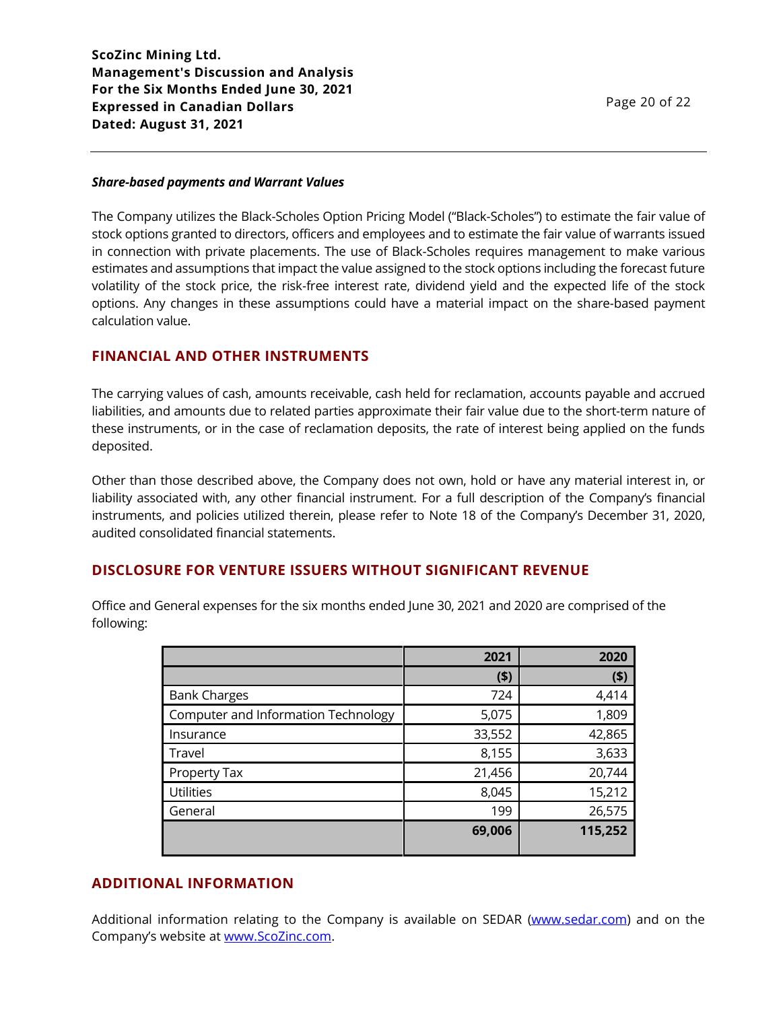#### *Share-based payments and Warrant Values*

The Company utilizes the Black-Scholes Option Pricing Model ("Black-Scholes") to estimate the fair value of stock options granted to directors, officers and employees and to estimate the fair value of warrants issued in connection with private placements. The use of Black-Scholes requires management to make various estimates and assumptions that impact the value assigned to the stock options including the forecast future volatility of the stock price, the risk-free interest rate, dividend yield and the expected life of the stock options. Any changes in these assumptions could have a material impact on the share-based payment calculation value.

### **FINANCIAL AND OTHER INSTRUMENTS**

The carrying values of cash, amounts receivable, cash held for reclamation, accounts payable and accrued liabilities, and amounts due to related parties approximate their fair value due to the short-term nature of these instruments, or in the case of reclamation deposits, the rate of interest being applied on the funds deposited.

Other than those described above, the Company does not own, hold or have any material interest in, or liability associated with, any other financial instrument. For a full description of the Company's financial instruments, and policies utilized therein, please refer to Note 18 of the Company's December 31, 2020, audited consolidated financial statements.

# **DISCLOSURE FOR VENTURE ISSUERS WITHOUT SIGNIFICANT REVENUE**

Office and General expenses for the six months ended June 30, 2021 and 2020 are comprised of the following:

|                                     | 2021    | 2020    |
|-------------------------------------|---------|---------|
|                                     | $($ \$) | (5)     |
| <b>Bank Charges</b>                 | 724     | 4,414   |
| Computer and Information Technology | 5,075   | 1,809   |
| Insurance                           | 33,552  | 42,865  |
| Travel                              | 8,155   | 3,633   |
| Property Tax                        | 21,456  | 20,744  |
| <b>Utilities</b>                    | 8,045   | 15,212  |
| General                             | 199     | 26,575  |
|                                     | 69,006  | 115,252 |

# **ADDITIONAL INFORMATION**

Additional information relating to the Company is available on SEDAR [\(www.sedar.com\)](http://www.sedar.com/) and on the Company's website at [www.ScoZinc.com.](http://www.scozinc.com/)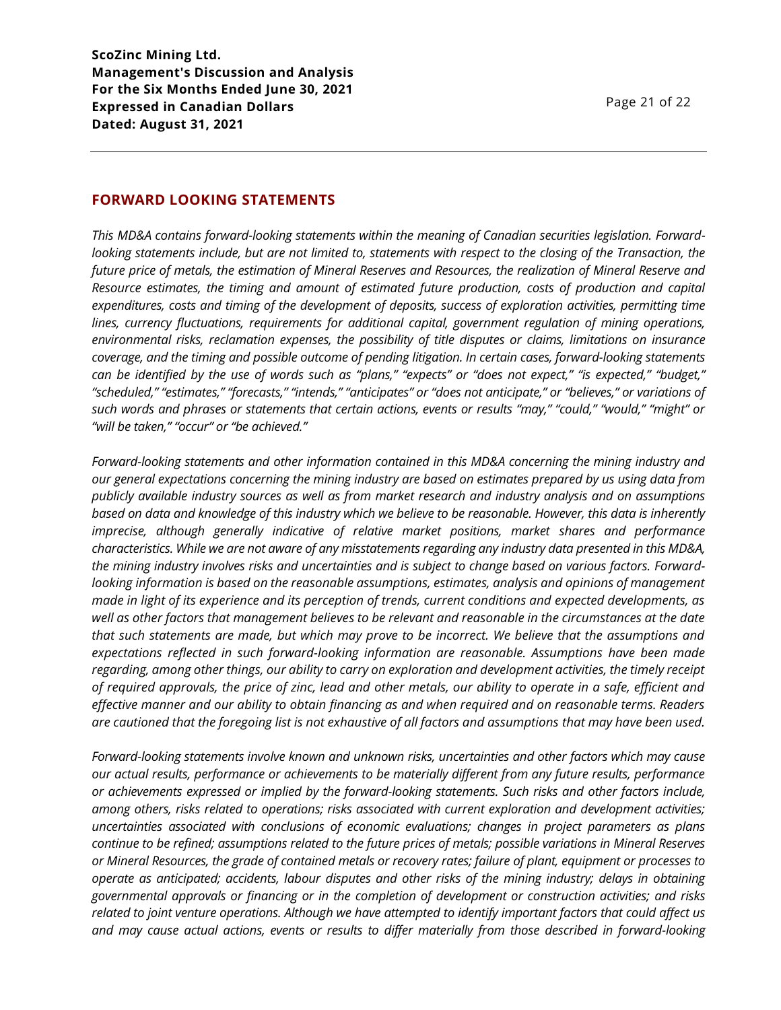## **FORWARD LOOKING STATEMENTS**

*This MD&A contains forward-looking statements within the meaning of Canadian securities legislation. Forwardlooking statements include, but are not limited to, statements with respect to the closing of the Transaction, the future price of metals, the estimation of Mineral Reserves and Resources, the realization of Mineral Reserve and Resource estimates, the timing and amount of estimated future production, costs of production and capital expenditures, costs and timing of the development of deposits, success of exploration activities, permitting time lines, currency fluctuations, requirements for additional capital, government regulation of mining operations, environmental risks, reclamation expenses, the possibility of title disputes or claims, limitations on insurance coverage, and the timing and possible outcome of pending litigation. In certain cases, forward-looking statements can be identified by the use of words such as "plans," "expects" or "does not expect," "is expected," "budget," "scheduled," "estimates," "forecasts," "intends," "anticipates" or "does not anticipate," or "believes," or variations of such words and phrases or statements that certain actions, events or results "may," "could," "would," "might" or "will be taken," "occur" or "be achieved."*

*Forward-looking statements and other information contained in this MD&A concerning the mining industry and our general expectations concerning the mining industry are based on estimates prepared by us using data from publicly available industry sources as well as from market research and industry analysis and on assumptions based on data and knowledge of this industry which we believe to be reasonable. However, this data is inherently imprecise, although generally indicative of relative market positions, market shares and performance characteristics. While we are not aware of any misstatements regarding any industry data presented in this MD&A, the mining industry involves risks and uncertainties and is subject to change based on various factors. Forwardlooking information is based on the reasonable assumptions, estimates, analysis and opinions of management made in light of its experience and its perception of trends, current conditions and expected developments, as well as other factors that management believes to be relevant and reasonable in the circumstances at the date that such statements are made, but which may prove to be incorrect. We believe that the assumptions and expectations reflected in such forward-looking information are reasonable. Assumptions have been made regarding, among other things, our ability to carry on exploration and development activities, the timely receipt of required approvals, the price of zinc, lead and other metals, our ability to operate in a safe, efficient and effective manner and our ability to obtain financing as and when required and on reasonable terms. Readers are cautioned that the foregoing list is not exhaustive of all factors and assumptions that may have been used.*

*Forward-looking statements involve known and unknown risks, uncertainties and other factors which may cause our actual results, performance or achievements to be materially different from any future results, performance or achievements expressed or implied by the forward-looking statements. Such risks and other factors include, among others, risks related to operations; risks associated with current exploration and development activities; uncertainties associated with conclusions of economic evaluations; changes in project parameters as plans continue to be refined; assumptions related to the future prices of metals; possible variations in Mineral Reserves or Mineral Resources, the grade of contained metals or recovery rates; failure of plant, equipment or processes to operate as anticipated; accidents, labour disputes and other risks of the mining industry; delays in obtaining governmental approvals or financing or in the completion of development or construction activities; and risks related to joint venture operations. Although we have attempted to identify important factors that could affect us and may cause actual actions, events or results to differ materially from those described in forward-looking*